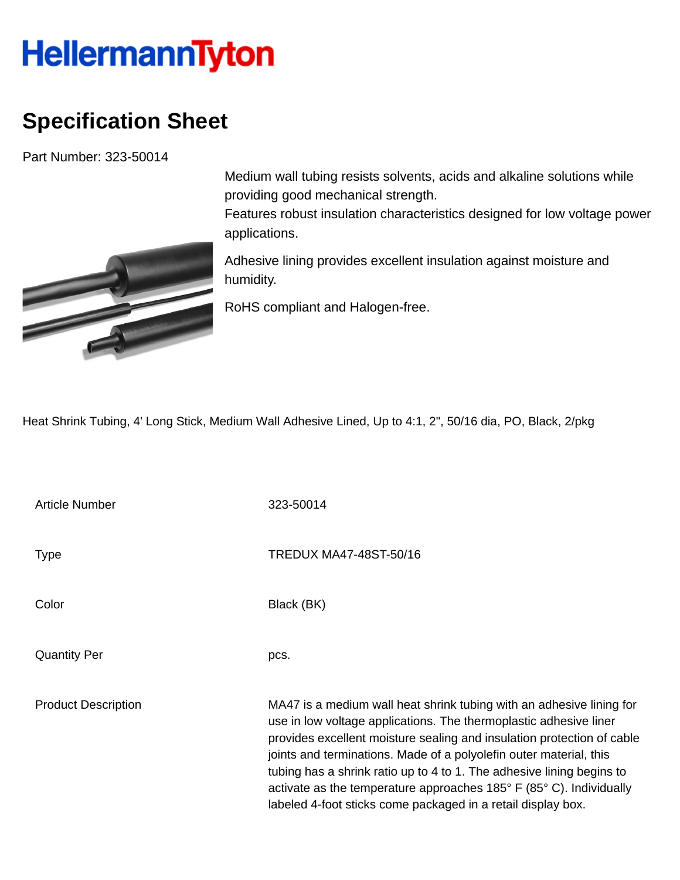## **HellermannTyton**

## **Specification Sheet**

Part Number: 323-50014



Medium wall tubing resists solvents, acids and alkaline solutions while providing good mechanical strength.

Features robust insulation characteristics designed for low voltage power applications.

Adhesive lining provides excellent insulation against moisture and humidity.

RoHS compliant and Halogen-free.

Heat Shrink Tubing, 4' Long Stick, Medium Wall Adhesive Lined, Up to 4:1, 2", 50/16 dia, PO, Black, 2/pkg

Article Number 323-50014 Type Type TREDUX MA47-48ST-50/16 Color Black (BK) Quantity Per pcs. Product Description MA47 is a medium wall heat shrink tubing with an adhesive lining for use in low voltage applications. The thermoplastic adhesive liner provides excellent moisture sealing and insulation protection of cable joints and terminations. Made of a polyolefin outer material, this tubing has a shrink ratio up to 4 to 1. The adhesive lining begins to activate as the temperature approaches 185° F (85° C). Individually labeled 4-foot sticks come packaged in a retail display box.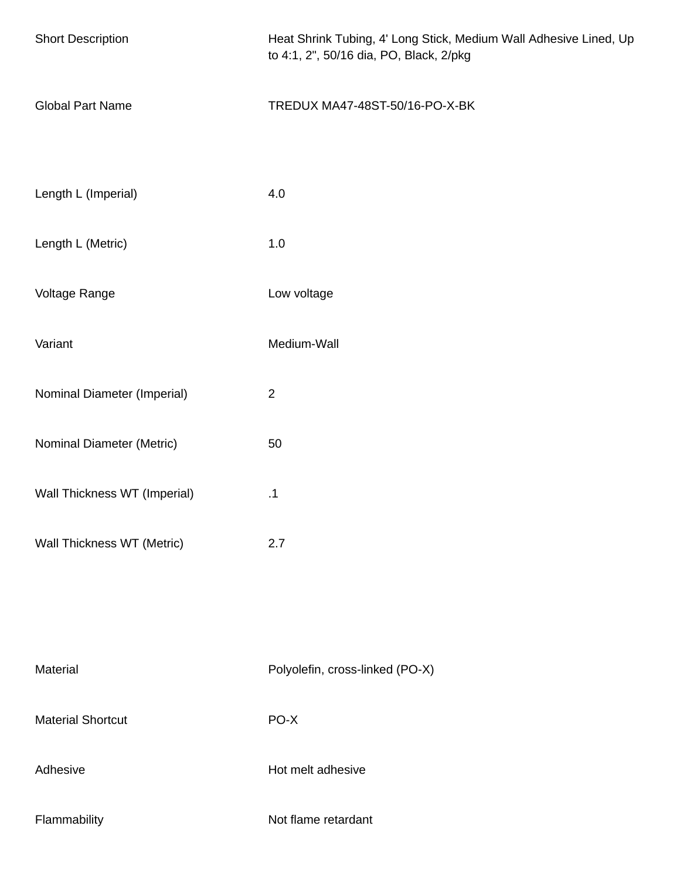| <b>Short Description</b>     | Heat Shrink Tubing, 4' Long Stick, Medium Wall Adhesive Lined, Up<br>to 4:1, 2", 50/16 dia, PO, Black, 2/pkg |
|------------------------------|--------------------------------------------------------------------------------------------------------------|
| <b>Global Part Name</b>      | TREDUX MA47-48ST-50/16-PO-X-BK                                                                               |
| Length L (Imperial)          | 4.0                                                                                                          |
| Length L (Metric)            | 1.0                                                                                                          |
| Voltage Range                | Low voltage                                                                                                  |
| Variant                      | Medium-Wall                                                                                                  |
| Nominal Diameter (Imperial)  | $\overline{2}$                                                                                               |
| Nominal Diameter (Metric)    | 50                                                                                                           |
| Wall Thickness WT (Imperial) | .1                                                                                                           |
| Wall Thickness WT (Metric)   | 2.7                                                                                                          |
|                              |                                                                                                              |
| Material                     | Polyolefin, cross-linked (PO-X)                                                                              |
| <b>Material Shortcut</b>     | PO-X                                                                                                         |
| Adhesive                     | Hot melt adhesive                                                                                            |
| Flammability                 | Not flame retardant                                                                                          |